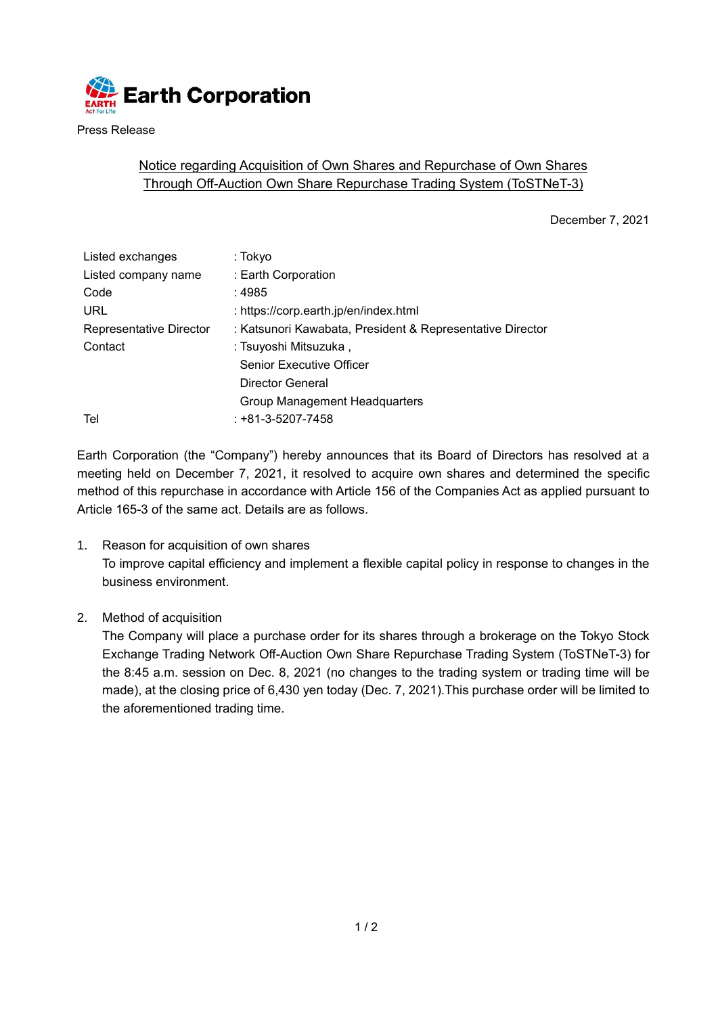

Press Release

## Notice regarding Acquisition of Own Shares and Repurchase of Own Shares Through Off-Auction Own Share Repurchase Trading System (ToSTNeT-3)

December 7, 2021

| Listed exchanges        | : Tokyo                                                   |  |
|-------------------------|-----------------------------------------------------------|--|
| Listed company name     | : Earth Corporation                                       |  |
| Code                    | : 4985                                                    |  |
| <b>URL</b>              | : https://corp.earth.jp/en/index.html                     |  |
| Representative Director | : Katsunori Kawabata, President & Representative Director |  |
| Contact                 | : Tsuyoshi Mitsuzuka ,                                    |  |
|                         | <b>Senior Executive Officer</b>                           |  |
|                         | Director General                                          |  |
|                         | Group Management Headquarters                             |  |
| Tel                     | $: +81 - 3 - 5207 - 7458$                                 |  |
|                         |                                                           |  |

Earth Corporation (the "Company") hereby announces that its Board of Directors has resolved at a meeting held on December 7, 2021, it resolved to acquire own shares and determined the specific method of this repurchase in accordance with Article 156 of the Companies Act as applied pursuant to Article 165-3 of the same act. Details are as follows.

- 1. Reason for acquisition of own shares To improve capital efficiency and implement a flexible capital policy in response to changes in the business environment.
- 2. Method of acquisition

The Company will place a purchase order for its shares through a brokerage on the Tokyo Stock Exchange Trading Network Off-Auction Own Share Repurchase Trading System (ToSTNeT-3) for the 8:45 a.m. session on Dec. 8, 2021 (no changes to the trading system or trading time will be made), at the closing price of 6,430 yen today (Dec. 7, 2021).This purchase order will be limited to the aforementioned trading time.